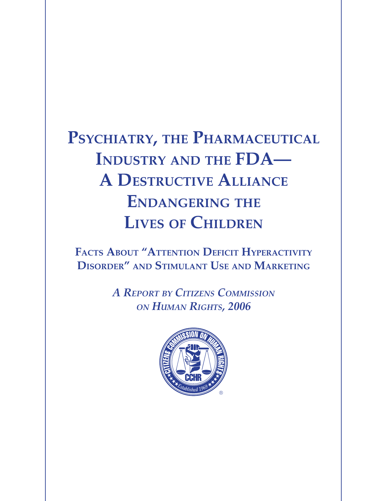# PSYCHIATRY, THE PHARMACEUTICAL **Industry and the FDA— A Destructive Alliance Endangering the Lives of Children**

**Facts About "Attention Deficit Hyperactivity Disorder" and Stimulant Use and Marketing**

> *A Report by Citizens Commission on Human Rights, 2006*

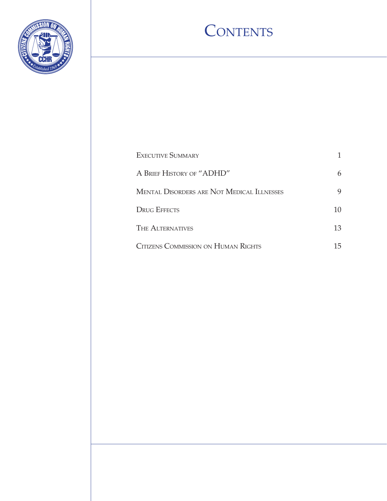

## CONTENTS

| <b>EXECUTIVE SUMMARY</b>                   |    |
|--------------------------------------------|----|
| A BRIEF HISTORY OF "ADHD"                  | 6  |
| MENTAL DISORDERS ARE NOT MEDICAL ILLNESSES | 9  |
| <b>DRUG EFFECTS</b>                        | 10 |
| <b>THE ALTERNATIVES</b>                    | 13 |
| CITIZENS COMMISSION ON HUMAN RIGHTS        | 15 |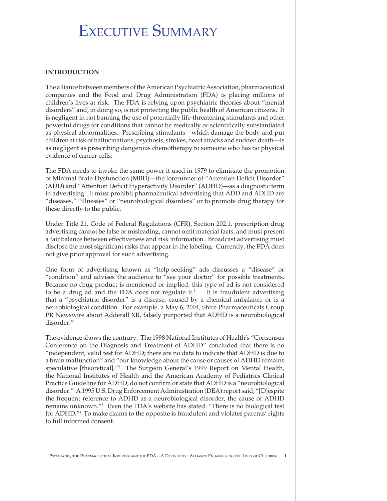### Executive Summary

#### **Introduction**

The alliance between members of the American Psychiatric Association, pharmaceutical companies and the Food and Drug Administration (FDA) is placing millions of children's lives at risk. The FDA is relying upon psychiatric theories about "mental disorders" and, in doing so, is not protecting the public health of American citizens. It is negligent in not banning the use of potentially life-threatening stimulants and other powerful drugs for conditions that cannot be medically or scientifically substantiated as physical abnormalities. Prescribing stimulants—which damage the body and put children at risk of hallucinations, psychosis, strokes, heart attacks and sudden death—is as negligent as prescribing dangerous chemotherapy to someone who has no physical evidence of cancer cells.

The FDA needs to invoke the same power it used in 1979 to eliminate the promotion of Minimal Brain Dysfunction (MBD)—the forerunner of "Attention Deficit Disorder" (ADD) and "Attention Deficit Hyperactivity Disorder" (ADHD)—as a diagnostic term in advertising. It must prohibit pharmaceutical advertising that ADD and ADHD are "diseases," "illnesses" or "neurobiological disorders" or to promote drug therapy for these directly to the public.

Under Title 21, Code of Federal Regulations (CFR), Section 202.1, prescription drug advertising cannot be false or misleading, cannot omit material facts, and must present a fair balance between effectiveness and risk information. Broadcast advertising must disclose the most significant risks that appear in the labeling. Currently, the FDA does not give prior approval for such advertising.

One form of advertising known as "help-seeking" ads discusses a "disease" or "condition" and advises the audience to "see your doctor" for possible treatments. Because no drug product is mentioned or implied, this type of ad is not considered to be a drug ad and the FDA does not regulate it. $1$  It is fraudulent advertising that a "psychiatric disorder" is a disease, caused by a chemical imbalance or is a neurobiological condition. For example, a May 6, 2004, Shire Pharmaceuticals Group PR Newswire about Adderall XR, falsely purported that ADHD is a neurobiological disorder."

The evidence shows the contrary. The 1998 National Institutes of Health's "Consensus Conference on the Diagnosis and Treatment of ADHD" concluded that there is no "independent, valid test for ADHD; there are no data to indicate that ADHD is due to a brain malfunction" and "our knowledge about the cause or causes of ADHD remains speculative [theoretical]."2 The Surgeon General's 1999 Report on Mental Health, the National Institutes of Health and the American Academy of Pediatrics Clinical Practice Guideline for ADHD, do not confirm or state that ADHD is a "neurobiological disorder." A 1995 U.S. Drug Enforcement Administration (DEA) report said, "[D]espite the frequent reference to ADHD as a neurobiological disorder, the cause of ADHD remains unknown."3 Even the FDA's website has stated: "There is no biological test for ADHD."4 To make claims to the opposite is fraudulent and violates parents' rights to full informed consent.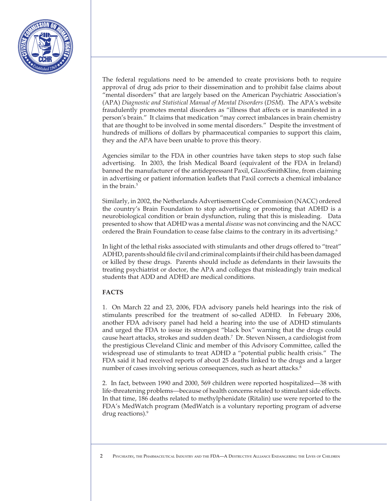

The federal regulations need to be amended to create provisions both to require approval of drug ads prior to their dissemination and to prohibit false claims about "mental disorders" that are largely based on the American Psychiatric Association's (APA) *Diagnostic and Statistical Manual of Mental Disorders* (*DSM*). The APA's website fraudulently promotes mental disorders as "illness that affects or is manifested in a person's brain." It claims that medication "may correct imbalances in brain chemistry that are thought to be involved in some mental disorders." Despite the investment of hundreds of millions of dollars by pharmaceutical companies to support this claim, they and the APA have been unable to prove this theory.

Agencies similar to the FDA in other countries have taken steps to stop such false advertising. In 2003, the Irish Medical Board (equivalent of the FDA in Ireland) banned the manufacturer of the antidepressant Paxil, GlaxoSmithKline, from claiming in advertising or patient information leaflets that Paxil corrects a chemical imbalance in the brain.<sup>5</sup>

Similarly, in 2002, the Netherlands Advertisement Code Commission (NACC) ordered the country's Brain Foundation to stop advertising or promoting that ADHD is a neurobiological condition or brain dysfunction, ruling that this is misleading. Data presented to show that ADHD was a mental *disease* was not convincing and the NACC ordered the Brain Foundation to cease false claims to the contrary in its advertising.6

In light of the lethal risks associated with stimulants and other drugs offered to "treat" ADHD, parents should file civil and criminal complaints if their child has been damaged or killed by these drugs. Parents should include as defendants in their lawsuits the treating psychiatrist or doctor, the APA and colleges that misleadingly train medical students that ADD and ADHD are medical conditions.

#### **Facts**

1. On March 22 and 23, 2006, FDA advisory panels held hearings into the risk of stimulants prescribed for the treatment of so-called ADHD. In February 2006, another FDA advisory panel had held a hearing into the use of ADHD stimulants and urged the FDA to issue its strongest "black box" warning that the drugs could cause heart attacks, strokes and sudden death.7 Dr. Steven Nissen, a cardiologist from the prestigious Cleveland Clinic and member of this Advisory Committee, called the widespread use of stimulants to treat ADHD a "potential public health crisis." The FDA said it had received reports of about 25 deaths linked to the drugs and a larger number of cases involving serious consequences, such as heart attacks.<sup>8</sup>

2. In fact, between 1990 and 2000, 569 children were reported hospitalized—38 with life-threatening problems—because of health concerns related to stimulant side effects. In that time, 186 deaths related to methylphenidate (Ritalin) use were reported to the FDA's MedWatch program (MedWatch is a voluntary reporting program of adverse drug reactions).<sup>9</sup>

2 Psychiatry, the Pharmaceutical Industry and the FDA—A Destructive Alliance Endangering the Lives of Children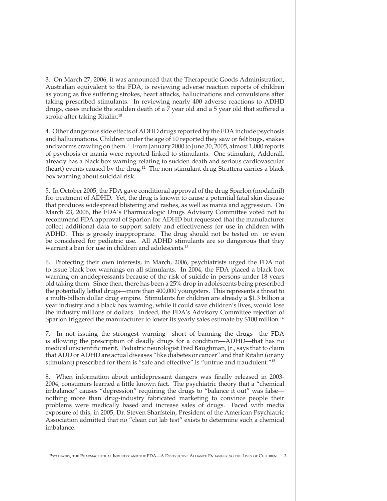3. On March 27, 2006, it was announced that the Therapeutic Goods Administration, Australian equivalent to the FDA, is reviewing adverse reaction reports of children as young as five suffering strokes, heart attacks, hallucinations and convulsions after taking prescribed stimulants. In reviewing nearly 400 adverse reactions to ADHD drugs, cases include the sudden death of a 7 year old and a 5 year old that suffered a stroke after taking Ritalin.10

4. Other dangerous side effects of ADHD drugs reported by the FDA include psychosis and hallucinations. Children under the age of 10 reported they saw or felt bugs, snakes and worms crawling on them.11 From January 2000 to June 30, 2005, almost 1,000 reports of psychosis or mania were reported linked to stimulants. One stimulant, Adderall, already has a black box warning relating to sudden death and serious cardiovascular (heart) events caused by the drug.<sup>12</sup> The non-stimulant drug Strattera carries a black box warning about suicidal risk.

5. In October 2005, the FDA gave conditional approval of the drug Sparlon (modafinil) for treatment of ADHD. Yet, the drug is known to cause a potential fatal skin disease that produces widespread blistering and rashes, as well as mania and aggression. On March 23, 2006, the FDA's Pharmacalogic Drugs Advisory Committee voted not to recommend FDA approval of Sparlon for ADHD but requested that the manufacturer collect additional data to support safety and effectiveness for use in children with ADHD. This is grossly inappropriate. The drug should not be tested on or even be considered for pediatric use. All ADHD stimulants are so dangerous that they warrant a ban for use in children and adolescents.<sup>13</sup>

6. Protecting their own interests, in March, 2006, psychiatrists urged the FDA not to issue black box warnings on all stimulants. In 2004, the FDA placed a black box warning on antidepressants because of the risk of suicide in persons under 18 years old taking them. Since then, there has been a 25% drop in adolescents being prescribed the potentially lethal drugs—more than 400,000 youngsters. This represents a threat to a multi-billion dollar drug empire. Stimulants for children are already a \$1.3 billion a year industry and a black box warning, while it could save children's lives, would lose the industry millions of dollars. Indeed, the FDA's Advisory Committee rejection of Sparlon triggered the manufacturer to lower its yearly sales estimate by \$100 million.<sup>14</sup>

7. In not issuing the strongest warning—short of banning the drugs—the FDA is allowing the prescription of deadly drugs for a condition—ADHD—that has no medical or scientific merit. Pediatric neurologist Fred Baughman, Jr., says that to claim that ADD or ADHD are actual diseases "like diabetes or cancer" and that Ritalin (or any stimulant) prescribed for them is "safe and effective" is "untrue and fraudulent."15

8. When information about antidepressant dangers was finally released in 2003- 2004, consumers learned a little known fact. The psychiatric theory that a "chemical imbalance" causes "depression" requiring the drugs to "balance it out" was false nothing more than drug-industry fabricated marketing to convince people their problems were medically based and increase sales of drugs. Faced with media exposure of this, in 2005, Dr. Steven Sharfstein, President of the American Psychiatric Association admitted that no "clean cut lab test" exists to determine such a chemical imbalance.

PSYCHIATRY, THE PHARMACEUTICAL INDUSTRY AND THE FDA—A DESTRUCTIVE ALLIANCE ENDANGERING THE LIVES OF CHILDREN 3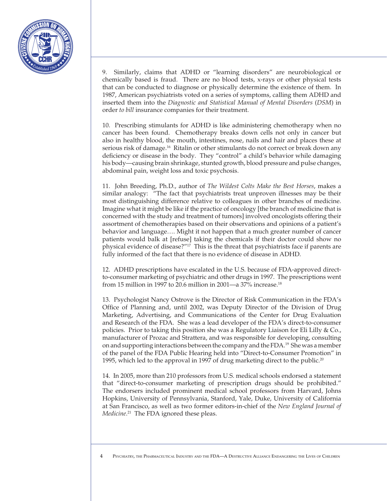

9. Similarly, claims that ADHD or "learning disorders" are neurobiological or chemically based is fraud. There are no blood tests, x-rays or other physical tests that can be conducted to diagnose or physically determine the existence of them. In 1987, American psychiatrists voted on a series of symptoms, calling them ADHD and inserted them into the *Diagnostic and Statistical Manual of Mental Disorders* (*DSM*) in order *to bill* insurance companies for their treatment.

10. Prescribing stimulants for ADHD is like administering chemotherapy when no cancer has been found. Chemotherapy breaks down cells not only in cancer but also in healthy blood, the mouth, intestines, nose, nails and hair and places these at serious risk of damage.<sup>16</sup> Ritalin or other stimulants do not correct or break down any deficiency or disease in the body. They "control" a child's behavior while damaging his body—causing brain shrinkage, stunted growth, blood pressure and pulse changes, abdominal pain, weight loss and toxic psychosis.

11. John Breeding, Ph.D., author of *The Wildest Colts Make the Best Horses*, makes a similar analogy: "The fact that psychiatrists treat unproven illnesses may be their most distinguishing difference relative to colleagues in other branches of medicine. Imagine what it might be like if the practice of oncology [the branch of medicine that is concerned with the study and treatment of tumors] involved oncologists offering their assortment of chemotherapies based on their observations and opinions of a patient's behavior and language…. Might it not happen that a much greater number of cancer patients would balk at [refuse] taking the chemicals if their doctor could show no physical evidence of disease?"17 This is the threat that psychiatrists face if parents are fully informed of the fact that there is no evidence of disease in ADHD.

12. ADHD prescriptions have escalated in the U.S. because of FDA-approved directto-consumer marketing of psychiatric and other drugs in 1997. The prescriptions went from 15 million in 1997 to 20.6 million in 2001—a 37% increase.18

13. Psychologist Nancy Ostrove is the Director of Risk Communication in the FDA's Office of Planning and, until 2002, was Deputy Director of the Division of Drug Marketing, Advertising, and Communications of the Center for Drug Evaluation and Research of the FDA. She was a lead developer of the FDA's direct-to-consumer policies. Prior to taking this position she was a Regulatory Liaison for Eli Lilly & Co., manufacturer of Prozac and Strattera, and was responsible for developing, consulting on and supporting interactions between the company and the FDA.19 She was a member of the panel of the FDA Public Hearing held into "Direct-to-Consumer Promotion" in 1995, which led to the approval in 1997 of drug marketing direct to the public.<sup>20</sup>

14. In 2005, more than 210 professors from U.S. medical schools endorsed a statement that "direct-to-consumer marketing of prescription drugs should be prohibited." The endorsers included prominent medical school professors from Harvard, Johns Hopkins, University of Pennsylvania, Stanford, Yale, Duke, University of California at San Francisco, as well as two former editors-in-chief of the *New England Journal of Medicine*. 21 The FDA ignored these pleas.

4 Psychiatry, the Pharmaceutical Industry and the FDA—A Destructive Alliance Endangering the Lives of Children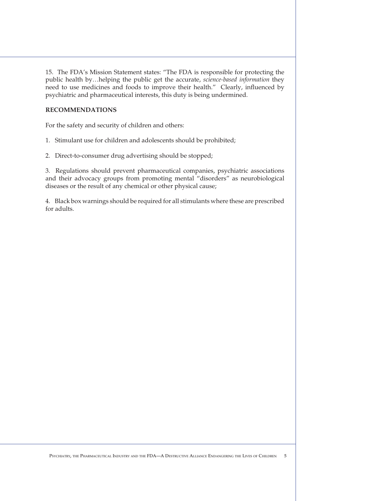15. The FDA's Mission Statement states: "The FDA is responsible for protecting the public health by…helping the public get the accurate, *science-based information* they need to use medicines and foods to improve their health." Clearly, influenced by psychiatric and pharmaceutical interests, this duty is being undermined.

#### **Recommendations**

For the safety and security of children and others:

- 1. Stimulant use for children and adolescents should be prohibited;
- 2. Direct-to-consumer drug advertising should be stopped;

3. Regulations should prevent pharmaceutical companies, psychiatric associations and their advocacy groups from promoting mental "disorders" as neurobiological diseases or the result of any chemical or other physical cause;

4. Black box warnings should be required for all stimulants where these are prescribed for adults.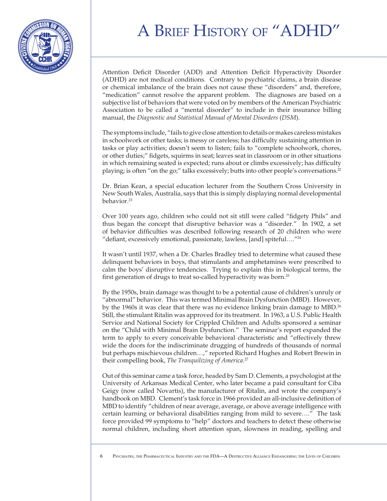## A BRIEF HISTORY OF "ADH



Attention Deficit Disorder (ADD) and Attention Deficit Hyperactivity Disorder (ADHD) are not medical conditions. Contrary to psychiatric claims, a brain disease or chemical imbalance of the brain does not cause these "disorders" and, therefore, "medication" cannot resolve the apparent problem. The diagnoses are based on a subjective list of behaviors that were voted on by members of the American Psychiatric Association to be called a "mental disorder" to include in their insurance billing manual, the *Diagnostic and Statistical Manual of Mental Disorders* (*DSM*).

The symptoms include, "fails to give close attention to details or makes careless mistakes in schoolwork or other tasks; is messy or careless; has difficulty sustaining attention in tasks or play activities; doesn't seem to listen; fails to "complete schoolwork, chores, or other duties;" fidgets, squirms in seat; leaves seat in classroom or in other situations in which remaining seated is expected; runs about or climbs excessively; has difficulty playing; is often "on the go;" talks excessively; butts into other people's conversations.22

Dr. Brian Kean, a special education lecturer from the Southern Cross University in New South Wales, Australia, says that this is simply displaying normal developmental behavior.23

Over 100 years ago, children who could not sit still were called "fidgety Phils" and thus began the concept that disruptive behavior was a "disorder." In 1902, a set of behavior difficulties was described following research of 20 children who were "defiant, excessively emotional, passionate, lawless, [and] spiteful…."24

It wasn't until 1937, when a Dr. Charles Bradley tried to determine what caused these delinquent behaviors in boys, that stimulants and amphetamines were prescribed to calm the boys' disruptive tendencies. Trying to explain this in biological terms, the first generation of drugs to treat so-called hyperactivity was born.25

By the 1950s, brain damage was thought to be a potential cause of children's unruly or "abnormal" behavior. This was termed Minimal Brain Dysfunction (MBD). However, by the 1960s it was clear that there was no evidence linking brain damage to MBD.<sup>26</sup> Still, the stimulant Ritalin was approved for its treatment. In 1963, a U.S. Public Health Service and National Society for Crippled Children and Adults sponsored a seminar on the "Child with Minimal Brain Dysfunction." The seminar's report expanded the term to apply to every conceivable behavioral characteristic and "effectively threw wide the doors for the indiscriminate drugging of hundreds of thousands of normal but perhaps mischievous children…," reported Richard Hughes and Robert Brewin in their compelling book, *The Tranquilizing of America*. 27

Out of this seminar came a task force, headed by Sam D. Clements, a psychologist at the University of Arkansas Medical Center, who later became a paid consultant for Ciba Geigy (now called Novartis), the manufacturer of Ritalin, and wrote the company's handbook on MBD. Clement's task force in 1966 provided an all-inclusive definition of MBD to identify "children of near average, average, or above average intelligence with certain learning or behavioral disabilities ranging from mild to severe…." The task force provided 99 symptoms to "help" doctors and teachers to detect these otherwise normal children, including short attention span, slowness in reading, spelling and

<sup>6</sup> Psychiatry, the Pharmaceutical Industry and the FDA—A Destructive Alliance Endangering the Lives of Children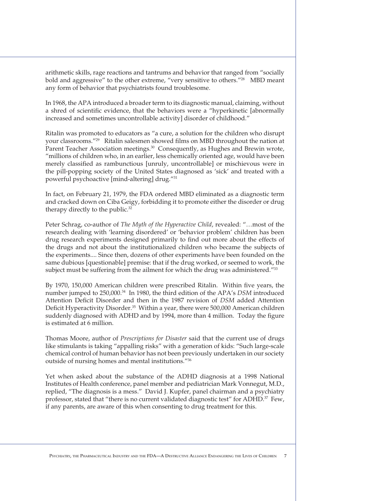arithmetic skills, rage reactions and tantrums and behavior that ranged from "socially bold and aggressive" to the other extreme, "very sensitive to others."28 MBD meant any form of behavior that psychiatrists found troublesome.

In 1968, the APA introduced a broader term to its diagnostic manual, claiming, without a shred of scientific evidence, that the behaviors were a "hyperkinetic [abnormally increased and sometimes uncontrollable activity] disorder of childhood."

Ritalin was promoted to educators as "a cure, a solution for the children who disrupt your classrooms."29 Ritalin salesmen showed films on MBD throughout the nation at Parent Teacher Association meetings.<sup>30</sup> Consequently, as Hughes and Brewin wrote, "millions of children who, in an earlier, less chemically oriented age, would have been merely classified as rambunctious [unruly, uncontrollable] or mischievous were in the pill-popping society of the United States diagnosed as 'sick' and treated with a powerful psychoactive [mind-altering] drug."31

In fact, on February 21, 1979, the FDA ordered MBD eliminated as a diagnostic term and cracked down on Ciba Geigy, forbidding it to promote either the disorder or drug therapy directly to the public.<sup>32</sup>

Peter Schrag, co-author of *The Myth of the Hyperactive Child*, revealed: "…most of the research dealing with 'learning disordered' or 'behavior problem' children has been drug research experiments designed primarily to find out more about the effects of the drugs and not about the institutionalized children who became the subjects of the experiments.... Since then, dozens of other experiments have been founded on the same dubious [questionable] premise: that if the drug worked, or seemed to work, the subject must be suffering from the ailment for which the drug was administered."33

By 1970, 150,000 American children were prescribed Ritalin. Within five years, the number jumped to 250,000.34 In 1980, the third edition of the APA's *DSM* introduced Attention Deficit Disorder and then in the 1987 revision of *DSM* added Attention Deficit Hyperactivity Disorder.35 Within a year, there were 500,000 American children suddenly diagnosed with ADHD and by 1994, more than 4 million. Today the figure is estimated at 6 million.

Thomas Moore, author of *Prescriptions for Disaster* said that the current use of drugs like stimulants is taking "appalling risks" with a generation of kids: "Such large-scale chemical control of human behavior has not been previously undertaken in our society outside of nursing homes and mental institutions."36

Yet when asked about the substance of the ADHD diagnosis at a 1998 National Institutes of Health conference, panel member and pediatrician Mark Vonnegut, M.D., replied, "The diagnosis is a mess." David J. Kupfer, panel chairman and a psychiatry professor, stated that "there is no current validated diagnostic test" for ADHD.<sup>37</sup> Few, if any parents, are aware of this when consenting to drug treatment for this.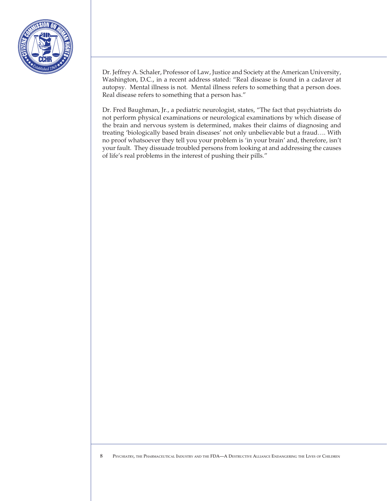

Dr. Jeffrey A. Schaler, Professor of Law, Justice and Society at the American University, Washington, D.C., in a recent address stated: "Real disease is found in a cadaver at autopsy. Mental illness is not. Mental illness refers to something that a person does. Real disease refers to something that a person has."

Dr. Fred Baughman, Jr., a pediatric neurologist, states, "The fact that psychiatrists do not perform physical examinations or neurological examinations by which disease of the brain and nervous system is determined, makes their claims of diagnosing and treating 'biologically based brain diseases' not only unbelievable but a fraud…. With no proof whatsoever they tell you your problem is 'in your brain' and, therefore, isn't your fault. They dissuade troubled persons from looking at and addressing the causes of life's real problems in the interest of pushing their pills."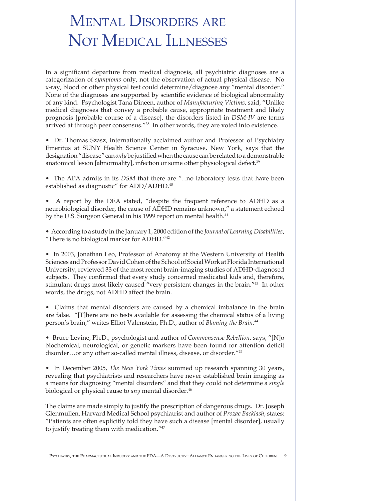## Mental Disorders are NOT MEDICAL ILLNESSES

In a significant departure from medical diagnosis, all psychiatric diagnoses are a categorization of *symptoms* only, not the observation of actual physical disease. No x-ray, blood or other physical test could determine/diagnose any "mental disorder." None of the diagnoses are supported by scientific evidence of biological abnormality of any kind. Psychologist Tana Dineen, author of *Manufacturing Victims*, said, "Unlike medical diagnoses that convey a probable cause, appropriate treatment and likely prognosis [probable course of a disease], the disorders listed in *DSM-IV* are terms arrived at through peer consensus."38 In other words, they are voted into existence.

• Dr. Thomas Szasz, internationally acclaimed author and Professor of Psychiatry Emeritus at SUNY Health Science Center in Syracuse, New York, says that the designation "disease" can *only* be justified when the cause can be related to a demonstrable anatomical lesion [abnormality], infection or some other physiological defect.<sup>39</sup>

• The APA admits in its *DSM* that there are "...no laboratory tests that have been established as diagnostic" for ADD/ADHD.<sup>40</sup>

• A report by the DEA stated, "despite the frequent reference to ADHD as a neurobiological disorder, the cause of ADHD remains unknown," a statement echoed by the U.S. Surgeon General in his 1999 report on mental health.<sup>41</sup>

• According to a study in the January 1, 2000 edition of the *Journal of Learning Disabilities*, "There is no biological marker for ADHD."42

• In 2003, Jonathan Leo, Professor of Anatomy at the Western University of Health Sciences and Professor David Cohen of the School of Social Work at Florida International University, reviewed 33 of the most recent brain-imaging studies of ADHD-diagnosed subjects. They confirmed that every study concerned medicated kids and, therefore, stimulant drugs most likely caused "very persistent changes in the brain."43 In other words, the drugs, not ADHD affect the brain.

• Claims that mental disorders are caused by a chemical imbalance in the brain are false. "[T]here are no tests available for assessing the chemical status of a living person's brain," writes Elliot Valenstein, Ph.D., author of *Blaming the Brain*. 44

• Bruce Levine, Ph.D., psychologist and author of *Commonsense Rebellion*, says, "[N]o biochemical, neurological, or genetic markers have been found for attention deficit disorder…or any other so-called mental illness, disease, or disorder."45

• In December 2005, *The New York Times* summed up research spanning 30 years, revealing that psychiatrists and researchers have never established brain imaging as a means for diagnosing "mental disorders" and that they could not determine a *single* biological or physical cause to *any* mental disorder.<sup>46</sup>

The claims are made simply to justify the prescription of dangerous drugs. Dr. Joseph Glenmullen, Harvard Medical School psychiatrist and author of *Prozac Backlash*, states: "Patients are often explicitly told they have such a disease [mental disorder], usually to justify treating them with medication."47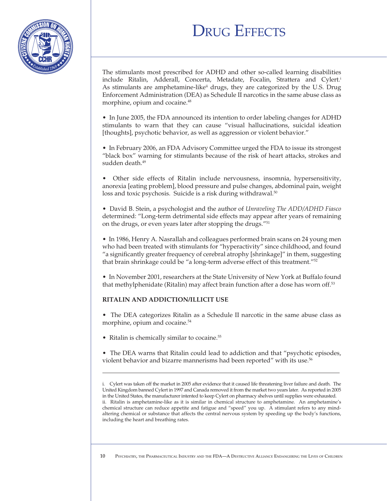## **DRUG EFFECTS**



The stimulants most prescribed for ADHD and other so-called learning disabilities include Ritalin, Adderall, Concerta, Metadate, Focalin, Strattera and Cylert.i As stimulants are amphetamine-like<sup>ii</sup> drugs, they are categorized by the U.S. Drug Enforcement Administration (DEA) as Schedule II narcotics in the same abuse class as morphine, opium and cocaine.<sup>48</sup>

• In June 2005, the FDA announced its intention to order labeling changes for ADHD stimulants to warn that they can cause "visual hallucinations, suicidal ideation [thoughts], psychotic behavior, as well as aggression or violent behavior."

• In February 2006, an FDA Advisory Committee urged the FDA to issue its strongest "black box" warning for stimulants because of the risk of heart attacks, strokes and sudden death.<sup>49</sup>

• Other side effects of Ritalin include nervousness, insomnia, hypersensitivity, anorexia [eating problem], blood pressure and pulse changes, abdominal pain, weight loss and toxic psychosis. Suicide is a risk during withdrawal.<sup>50</sup>

• David B. Stein, a psychologist and the author of *Unraveling The ADD/ADHD Fiasco* determined: "Long-term detrimental side effects may appear after years of remaining on the drugs, or even years later after stopping the drugs."51

• In 1986, Henry A. Nasrallah and colleagues performed brain scans on 24 young men who had been treated with stimulants for "hyperactivity" since childhood, and found "a significantly greater frequency of cerebral atrophy [shrinkage]" in them, suggesting that brain shrinkage could be "a long-term adverse effect of this treatment."52

• In November 2001, researchers at the State University of New York at Buffalo found that methylphenidate (Ritalin) may affect brain function after a dose has worn off.<sup>53</sup>

#### **Ritalin and Addiction/Illicit Use**

• The DEA categorizes Ritalin as a Schedule II narcotic in the same abuse class as morphine, opium and cocaine.<sup>54</sup>

• Ritalin is chemically similar to cocaine.<sup>55</sup>

 $\overline{a}$ 

• The DEA warns that Ritalin could lead to addiction and that "psychotic episodes, violent behavior and bizarre mannerisms had been reported" with its use.<sup>56</sup>

i. Cylert was taken off the market in 2005 after evidence that it caused life threatening liver failure and death. The United Kingdom banned Cylert in 1997 and Canada removed it from the market two years later. As reported in 2005 in the United States, the manufacturer intented to keep Cylert on pharmacy shelves until supplies were exhausted. ii. Ritalin is amphetamine-like as it is similar in chemical structure to amphetamine. An amphetamine's chemical structure can reduce appetite and fatigue and "speed" you up. A stimulant refers to any mindaltering chemical or substance that affects the central nervous system by speeding up the body's functions, including the heart and breathing rates.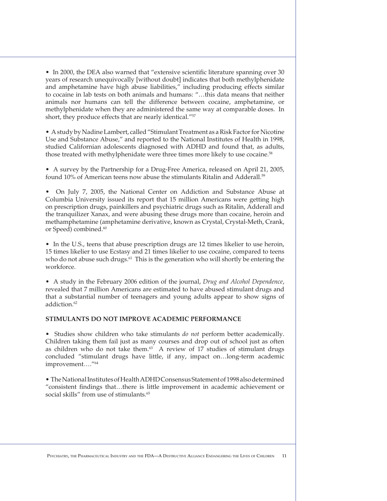• In 2000, the DEA also warned that "extensive scientific literature spanning over 30 years of research unequivocally [without doubt] indicates that both methylphenidate and amphetamine have high abuse liabilities," including producing effects similar to cocaine in lab tests on both animals and humans: "…this data means that neither animals nor humans can tell the difference between cocaine, amphetamine, or methylphenidate when they are administered the same way at comparable doses. In short, they produce effects that are nearly identical."<sup>57</sup>

• A study by Nadine Lambert, called "Stimulant Treatment as a Risk Factor for Nicotine Use and Substance Abuse," and reported to the National Institutes of Health in 1998, studied Californian adolescents diagnosed with ADHD and found that, as adults, those treated with methylphenidate were three times more likely to use cocaine.<sup>58</sup>

• A survey by the Partnership for a Drug-Free America, released on April 21, 2005, found 10% of American teens now abuse the stimulants Ritalin and Adderall.<sup>59</sup>

• On July 7, 2005, the National Center on Addiction and Substance Abuse at Columbia University issued its report that 15 million Americans were getting high on prescription drugs, painkillers and psychiatric drugs such as Ritalin, Adderall and the tranquilizer Xanax, and were abusing these drugs more than cocaine, heroin and methamphetamine (amphetamine derivative, known as Crystal, Crystal-Meth, Crank, or Speed) combined.<sup>60</sup>

• In the U.S., teens that abuse prescription drugs are 12 times likelier to use heroin, 15 times likelier to use Ecstasy and 21 times likelier to use cocaine, compared to teens who do not abuse such drugs.<sup>61</sup> This is the generation who will shortly be entering the workforce.

• A study in the February 2006 edition of the journal, *Drug and Alcohol Dependence*, revealed that 7 million Americans are estimated to have abused stimulant drugs and that a substantial number of teenagers and young adults appear to show signs of addiction.<sup>62</sup>

#### **Stimulants Do Not Improve Academic Performance**

• Studies show children who take stimulants *do not* perform better academically. Children taking them fail just as many courses and drop out of school just as often as children who do not take them. $63$  A review of 17 studies of stimulant drugs concluded "stimulant drugs have little, if any, impact on…long-term academic improvement…."64

• The National Institutes of Health ADHD Consensus Statement of 1998 also determined "consistent findings that…there is little improvement in academic achievement or social skills" from use of stimulants.<sup>65</sup>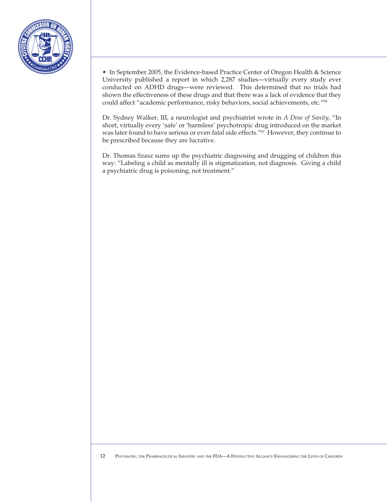

• In September 2005, the Evidence-based Practice Center of Oregon Health & Science University published a report in which 2,287 studies—virtually every study ever conducted on ADHD drugs—were reviewed. This determined that no trials had shown the effectiveness of these drugs and that there was a lack of evidence that they could affect "academic performance, risky behaviors, social achievements, etc."66

Dr. Sydney Walker, III, a neurologist and psychiatrist wrote in *A Dose of Sanity*, "In short, virtually every 'safe' or 'harmless' psychotropic drug introduced on the market was later found to have serious or even fatal side effects."67 However, they continue to be prescribed because they are lucrative.

Dr. Thomas Szasz sums up the psychiatric diagnosing and drugging of children this way: "Labeling a child as mentally ill is stigmatization, not diagnosis. Giving a child a psychiatric drug is poisoning, not treatment."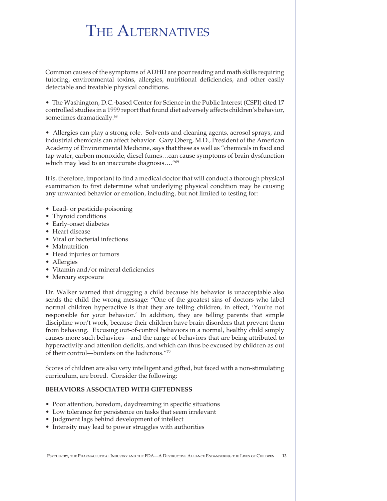## THE ALTERNATIVES

Common causes of the symptoms of ADHD are poor reading and math skills requiring tutoring, environmental toxins, allergies, nutritional deficiencies, and other easily detectable and treatable physical conditions.

• The Washington, D.C.-based Center for Science in the Public Interest (CSPI) cited 17 controlled studies in a 1999 report that found diet adversely affects children's behavior, sometimes dramatically.<sup>68</sup>

• Allergies can play a strong role. Solvents and cleaning agents, aerosol sprays, and industrial chemicals can affect behavior. Gary Oberg, M.D., President of the American Academy of Environmental Medicine, says that these as well as "chemicals in food and tap water, carbon monoxide, diesel fumes…can cause symptoms of brain dysfunction which may lead to an inaccurate diagnosis...."<sup>69</sup>

It is, therefore, important to find a medical doctor that will conduct a thorough physical examination to first determine what underlying physical condition may be causing any unwanted behavior or emotion, including, but not limited to testing for:

- Lead- or pesticide-poisoning
- Thyroid conditions
- Early-onset diabetes
- Heart disease
- Viral or bacterial infections
- Malnutrition
- Head injuries or tumors
- Allergies
- Vitamin and/or mineral deficiencies
- Mercury exposure

Dr. Walker warned that drugging a child because his behavior is unacceptable also sends the child the wrong message: "One of the greatest sins of doctors who label normal children hyperactive is that they are telling children, in effect, 'You're not responsible for your behavior.' In addition, they are telling parents that simple discipline won't work, because their children have brain disorders that prevent them from behaving. Excusing out-of-control behaviors in a normal, healthy child simply causes more such behaviors—and the range of behaviors that are being attributed to hyperactivity and attention deficits, and which can thus be excused by children as out of their control—borders on the ludicrous."70

Scores of children are also very intelligent and gifted, but faced with a non-stimulating curriculum, are bored. Consider the following:

#### **Behaviors Associated with Giftedness**

- Poor attention, boredom, daydreaming in specific situations
- Low tolerance for persistence on tasks that seem irrelevant
- Judgment lags behind development of intellect
- Intensity may lead to power struggles with authorities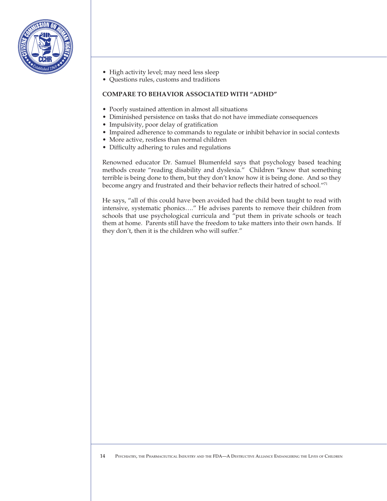

- High activity level; may need less sleep
- Questions rules, customs and traditions

#### **Compare to Behavior Associated with "ADHD"**

- Poorly sustained attention in almost all situations
- Diminished persistence on tasks that do not have immediate consequences
- Impulsivity, poor delay of gratification
- Impaired adherence to commands to regulate or inhibit behavior in social contexts
- More active, restless than normal children
- Difficulty adhering to rules and regulations

Renowned educator Dr. Samuel Blumenfeld says that psychology based teaching methods create "reading disability and dyslexia." Children "know that something terrible is being done to them, but they don't know how it is being done. And so they become angry and frustrated and their behavior reflects their hatred of school."71

He says, "all of this could have been avoided had the child been taught to read with intensive, systematic phonics…." He advises parents to remove their children from schools that use psychological curricula and "put them in private schools or teach them at home. Parents still have the freedom to take matters into their own hands. If they don't, then it is the children who will suffer."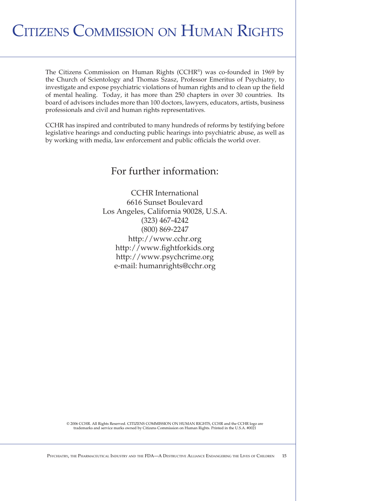## Citizens Commission on Human Rights

The Citizens Commission on Human Rights (CCHR®) was co-founded in 1969 by the Church of Scientology and Thomas Szasz, Professor Emeritus of Psychiatry, to investigate and expose psychiatric violations of human rights and to clean up the field of mental healing. Today, it has more than 250 chapters in over 30 countries. Its board of advisors includes more than 100 doctors, lawyers, educators, artists, business professionals and civil and human rights representatives.

CCHR has inspired and contributed to many hundreds of reforms by testifying before legislative hearings and conducting public hearings into psychiatric abuse, as well as by working with media, law enforcement and public officials the world over.

### For further information:

CCHR International 6616 Sunset Boulevard Los Angeles, California 90028, U.S.A. (323) 467-4242 (800) 869-2247 http://www.cchr.org http://www.fightforkids.org http://www.psychcrime.org e-mail: humanrights@cchr.org

© 2006 CCHR. All Rights Reserved. CITIZENS COMMISSION ON HUMAN RIGHTS, CCHR and the CCHR logo are trademarks and service marks owned by Citizens Commission on Human Rights. Printed in the U.S.A. #0021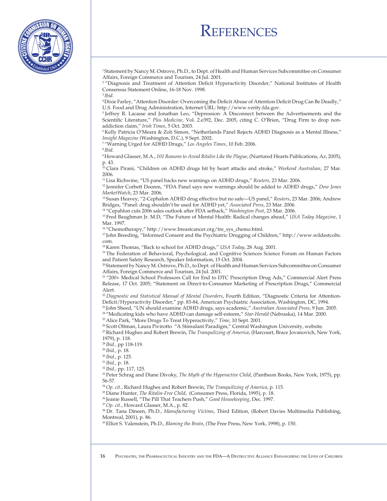### **REFERENCES**



1 Statement by Nancy M. Ostrove, Ph.D., to Dept. of Health and Human Services Subcommittee on Consumer Affairs, Foreign Commerce and Tourism, 24 Jul. 2001.

<sup>2</sup> "Diagnosis and Treatment of Attention Deficit Hyperactivity Disorder," National Institutes of Health Consensus Statement Online, 16-18 Nov. 1998. <sup>3</sup>*Ibid.*

4 Dixie Farley, "Attention Disorder: Overcoming the Deficit Abuse of Attention Deficit Drug Can Be Deadly," U.S. Food and Drug Administration, Internet URL: http://www.verity.fda.gov.

5 Jeffrey R. Lacasse and Jonathan Leo, "Depression: A Disconnect between the Advertisements and the Scientific Literature," *Plos Medicine*, Vol. 2.e392, Dec. 2005, citing C. O'Brien, "Drug Firm to drop nonaddiction claim," *Irish Times*, 5 Oct. 2003.

6 Kelly Patricia O'Meara & Zoli Simon, "Netherlands Panel Rejects ADHD Diagnosis as a Mental Illness," *Insight Magazine* (Washington, D.C.), 9 Sept. 2002.

7 "Warning Urged for ADHD Drugs," *Los Angeles Times*, 10 Feb. 2006.

<sup>8</sup>*Ibid.*

9 Howard Glasser, M.A., *101 Reasons to Avoid Ritalin Like the Plague*, (Nurtured Hearts Publications, Az, 2005), p. 43.

10 Clara Pirani, "Children on ADHD drugs hit by heart attacks and stroke," *Weekend Australian*, 27 Mar. 2006.

11 Lisa Richwine, "US panel backs new warnings on ADHD drugs," *Reuters*, 23 Mar. 2006.

12 Jennifer Corbett Dooren, "FDA Panel says new warnings should be added to ADHD drugs," *Dow Jones MarketWatch*, 23 Mar. 2006.

13 Susan Heavey, "2-Cephalon ADHD drug effective but no safe—US panel," *Reuters*, 23 Mar. 2006; Andrew Bridges, "Panel: drug shouldn't be used for ADHD yet," *Associated Press*, 23 Mar. 2006.

14 "Cepahlon cuts 2006 sales outlook after FDA setback," *Washington Post*, 23 Mar. 2006.

15 Fred Baughman Jr. M.D, "The Future of Mental Health: Radical changes ahead," *USA Today Magazine*, 1 Mar. 1997.

16 "Chemotherapy," http://www.breastcancer.org/tre\_sys\_chemo.html.

17 John Breeding, "Informed Consent and the Psychiatric Drugging of Children," http://www.wildestcolts. com.

<sup>18</sup> Karen Thomas, "Back to school for ADHD drugs," *USA Today*, 28 Aug. 2001.<br><sup>19</sup> The Federation of Behavioral, Psychological, and Cognitive Sciences Science Forum on Human Factors and Patient Safety Research, Speaker Information, 15 Oct. 2004.

20 Statement by Nancy M. Ostrove, Ph.D., to Dept. of Health and Human Services Subcommittee on Consumer Affairs, Foreign Commerce and Tourism, 24 Jul. 2001.

21 "200+ Medical School Professors Call for End to DTC Prescription Drug Ads," Commercial Alert Press Release, 17 Oct. 2005; "Statement on Direct-to-Consumer Marketing of Prescription Drugs," Commercial Alert.

22 *Diagnostic and Statistical Manual of Mental Disorders*, Fourth Edition, "Diagnostic Criteria for Attention-Deficit/Hyperactivity Disorder," pp. 83-84, American Psychiatric Association, Washington, DC, 1994.

23 John Sheed, "UN should examine ADHD drugs, says academic," *Australian Associated Press*, 9 Jun. 2005.

24 "Medicating kids who have ADHD can damage self-esteem," *Star-Herald* (Nebraska), 14 Mar. 2000.

25 Alice Park, "More Drugs To Treat Hyperactivity," *Time*, 10 Sept. 2001.

<sup>26</sup> Scott Oltman, Laura Pivirotto "A Stimulant Paradigm," Central Washington University, website.

27 Richard Hughes and Robert Brewin, *The Tranquilizing of America*, (Harcourt, Brace Jovanovich, New York, 1979), p. 118.

<sup>28</sup>*Ibid.,* pp 118-119.

<sup>29</sup>*Ibid.*, p. 18.

<sup>30</sup>*Ibid.*, p. 125.

<sup>31</sup>*Ibid.*, p. 18.

<sup>32</sup>*Ibid.*, pp. 117, 125.

33 Peter Schrag and Diane Divoky, *The Myth of the Hyperactive Child*, (Pantheon Books, New York, 1975), pp. 56-57.

<sup>34</sup>*Op. cit.*, Richard Hughes and Robert Brewin, *The Tranquilizing of America*, p. 115.

35 Diane Hunter, *The Ritalin-Free Child*, (Consumer Press, Florida, 1995), p. 18.

36 Jeanie Russell, "The Pill That Teachers Push," *Good Housekeeping*, Dec. 1997.

<sup>37</sup>*Op. cit.*, Howard Glasser, M.A., p. 82.

38 Dr. Tana Dineen, Ph.D., *Manufacturing Victims*, Third Edition, (Robert Davies Multimedia Publishing, Montreal, 2001), p. 86.

39 Elliot S. Valenstein, Ph.D., *Blaming the Brain*, (The Free Press, New York, 1998), p. 150.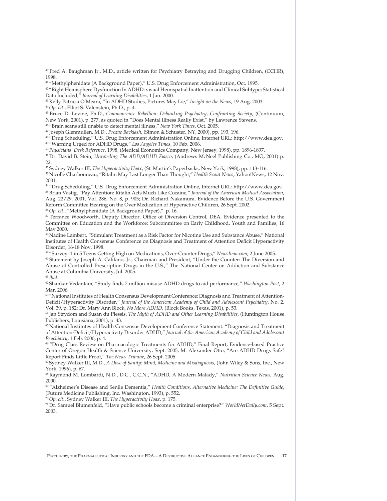40 Fred A. Baughman Jr., M.D., article written for Psychiatry Betraying and Drugging Children, (CCHR), 1998.

41 "Methylphenidate (A Background Paper)," U.S. Drug Enforcement Administration, Oct. 1995.

42 "Right Hemisphere Dysfunction In ADHD: visual Hemispatial Inattention and Clinical Subtype; Statistical Data Included," *Journal of Learning Disabilities*, 1 Jan. 2000.

43 Kelly Patricia O'Meara, "In ADHD Studies, Pictures May Lie," *Insight on the News*, 19 Aug. 2003. <sup>44</sup>*Op. cit*., Elliot S. Valenstein, Ph.D., p. 4.

45 Bruce D. Levine, Ph.D., *Commonsense Rebellion: Debunking Psychiatry, Confronting Society*, (Continuum, New York, 2001), p. 277, as quoted in "Does Mental Illness Really Exist," by Lawrence Stevens.

46 "Brain scans still unable to detect mental illness," *New York Times*, Oct. 2005.

47 Joseph Glenmullen, M.D., *Prozac Backlash*, (Simon & Schuster, NY, 2000), pp. 193, 196.

48 "Drug Scheduling," U.S. Drug Enforcement Administration Online, Internet URL: http://www.dea.gov. 49 "Warning Urged for ADHD Drugs," *Los Angeles Times*, 10 Feb. 2006.

<sup>50</sup>*Physicians' Desk Reference*, 1998, (Medical Economics Company, New Jersey, 1998), pp. 1896-1897.

51 Dr. David B. Stein, *Unraveling The ADD/ADHD Fiasco*, (Andrews McNeel Publishing Co., MO, 2001) p. 22.

52 Sydney Walker III, *The Hyperactivity Hoax*, (St. Martin's Paperbacks, New York, 1998), pp. 113-116. 53 Nicolle Charbonneau, "Ritalin May Last Longer Than Thought," *Health Scout News*, Yahoo!News, 12 Nov. 2001.

54 "Drug Scheduling," U.S. Drug Enforcement Administration Online, Internet URL: http://www.dea.gov. 55 Brian Vastig, "Pay Attention: Ritalin Acts Much Like Cocaine," *Journal of the American Medical Association*, Aug. 22/29, 2001, Vol. 286, No. 8, p. 905; Dr. Richard Nakamura, Evidence Before the U.S. Government Reform Committee Hearing on the Over Medication of Hyperactive Children, 26 Sept. 2002.

<sup>56</sup>*Op. cit.*, "Methylphenidate (A Background Paper)," p. 16.

57 Terrance Woodworth, Deputy Director, Office of Diversion Control, DEA, Evidence presented to the Committee on Education and the Workforce: Subcommittee on Early Childhood, Youth and Families, 16 May 2000.

58 Nadine Lambert, "Stimulant Treatment as a Risk Factor for Nicotine Use and Substance Abuse," National Institutes of Health Consensus Conference on Diagnosis and Treatment of Attention Deficit Hyperactivity Disorder, 16-18 Nov. 1998.

59 "Survey: 1 in 5 Teens Getting High on Medications, Over-Counter Drugs," *NewsItem.com*, 2 June 2005.

60 Statement by Joseph A. Califano, Jr., Chairman and President, "Under the Counter: The Diversion and Abuse of Controlled Prescription Drugs in the U.S.," The National Center on Addiction and Substance Abuse at Columbia University, Jul. 2005.

<sup>61</sup>*Ibid.*

62 Shankar Vedantam, "Study finds 7 million misuse ADHD drugs to aid performance," *Washington Post*, 2 Mar. 2006.

63 "National Institutes of Health Consensus Development Conference: Diagnosis and Treatment of Attention-Deficit/Hyperactivity Disorder," *Journal of the American Academy of Child and Adolescent Psychiatry*, No. 2, Vol. 39, p. 182; Dr. Mary Ann Block, *No More ADHD*, (Block Books, Texas, 2001), p. 53.

64 Jan Strydom and Susan du Plessis, *The Myth of ADHD and Other Learning Disabilities*, (Huntington House Publishers, Louisiana, 2001), p. 43.

65 National Institutes of Health Consensus Development Conference Statement: "Diagnosis and Treatment of Attention-Deficit/Hyperactivity Disorder ADHD," *Journal of the American Academy of Child and Adolescent Psychiatry*, 1 Feb. 2000, p. 4.

66 "Drug Class Review on Pharmacologic Treatments for ADHD," Final Report, Evidence-based Practice Center of Oregon Health & Science University, Sept. 2005; M. Alexander Otto, "Are ADHD Drugs Safe? Report Finds Little Proof," *The News Tribune*, 26 Sept. 2005.

67 Sydney Walker III, M.D., *A Dose of Sanity: Mind, Medicine and Misdiagnosis*, (John Wiley & Sons, Inc., New York, 1996), p. 67.

68 Raymond M. Lombardi, N.D., D.C., C.C.N., "ADHD, A Modern Malady," *Nutrition Science News*, Aug. 2000.

69 "Alzheimer's Disease and Senile Dementia," *Health Conditions, Alternative Medicine: The Definitive Guide*, (Future Medicine Publishing, Inc. Washington, 1993), p. 552.

<sup>70</sup>*Op. cit.*, Sydney Walker III, *The Hyperactivity Hoax*, p. 175.

71 Dr. Samuel Blumenfeld, "Have public schools become a criminal enterprise?" *WorldNetDaily.com*, 5 Sept. 2003.